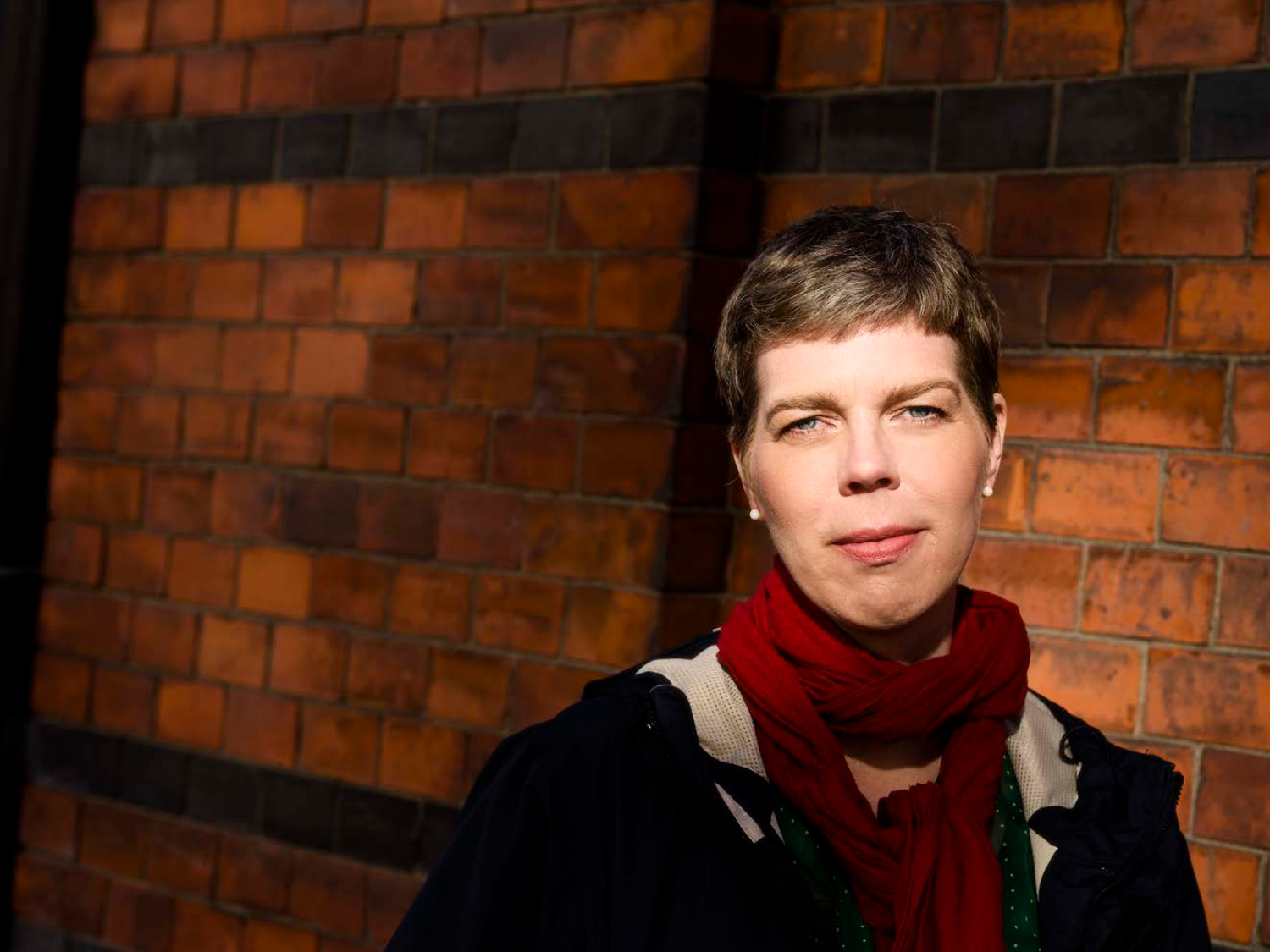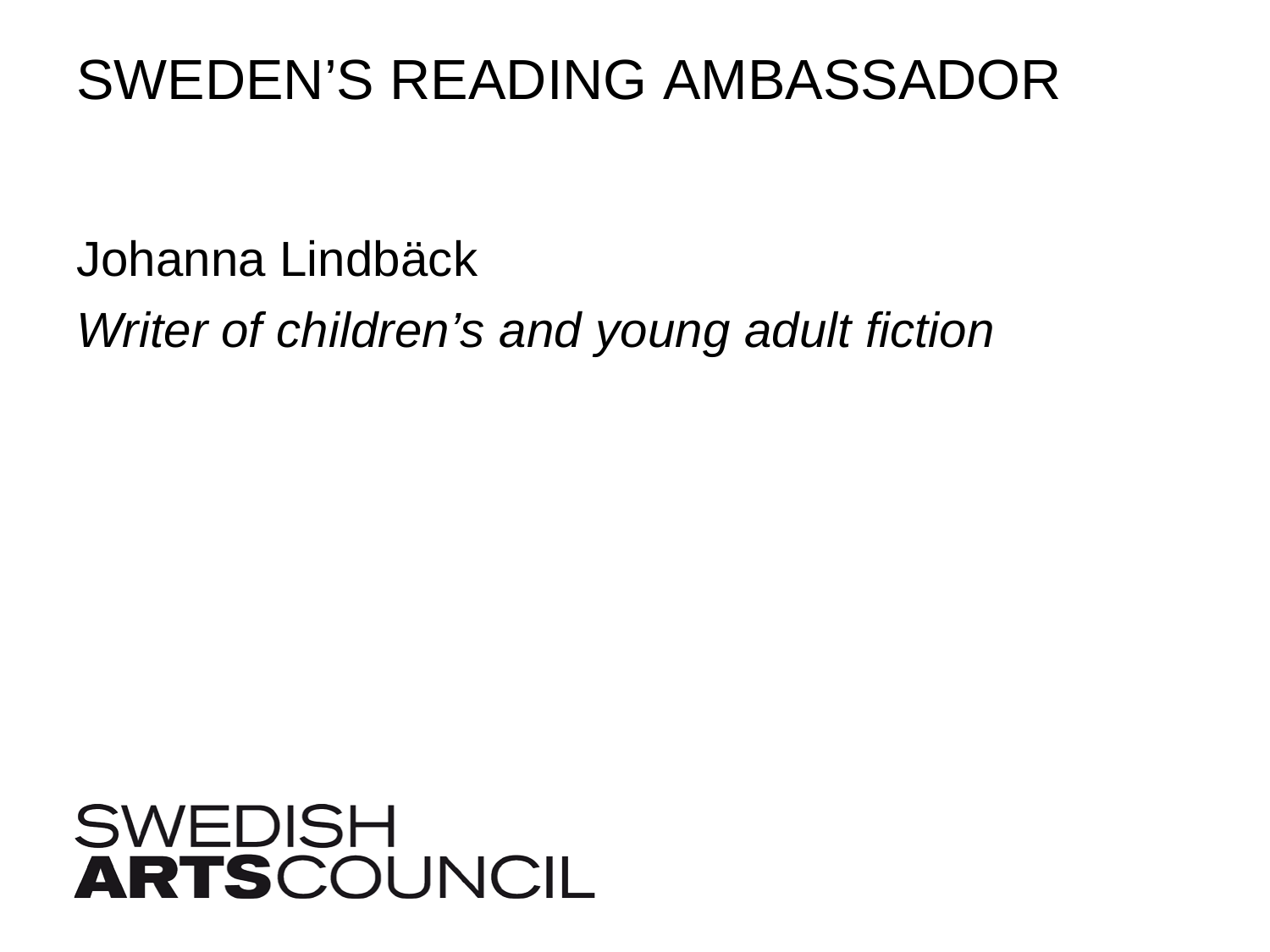### SWEDEN'S READING AMBASSADOR

Johanna Lindbäck

*Writer of children's and young adult fiction*

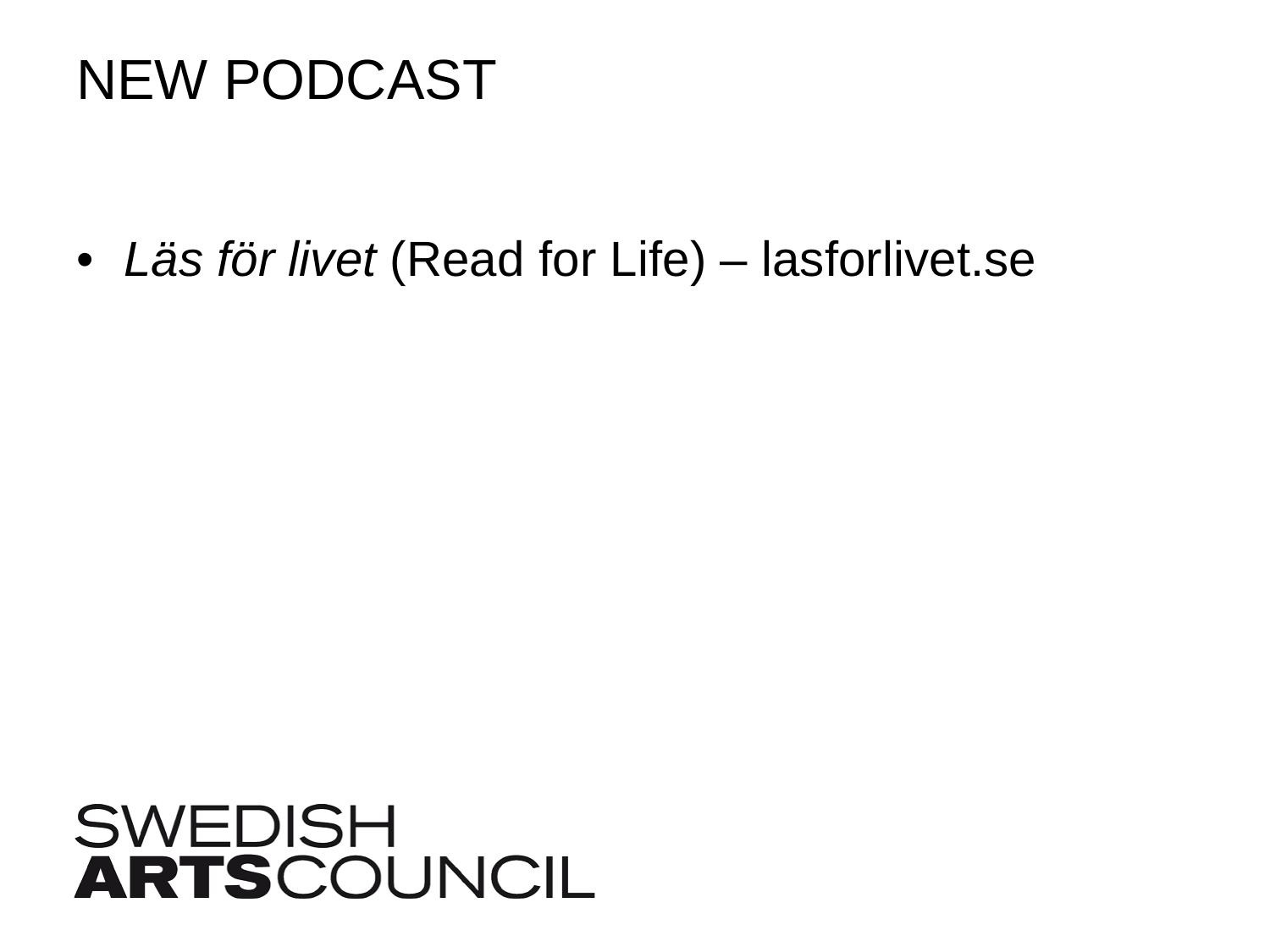### **NEW PODCAST**

• Läs för livet (Read for Life) – lasforlivet.se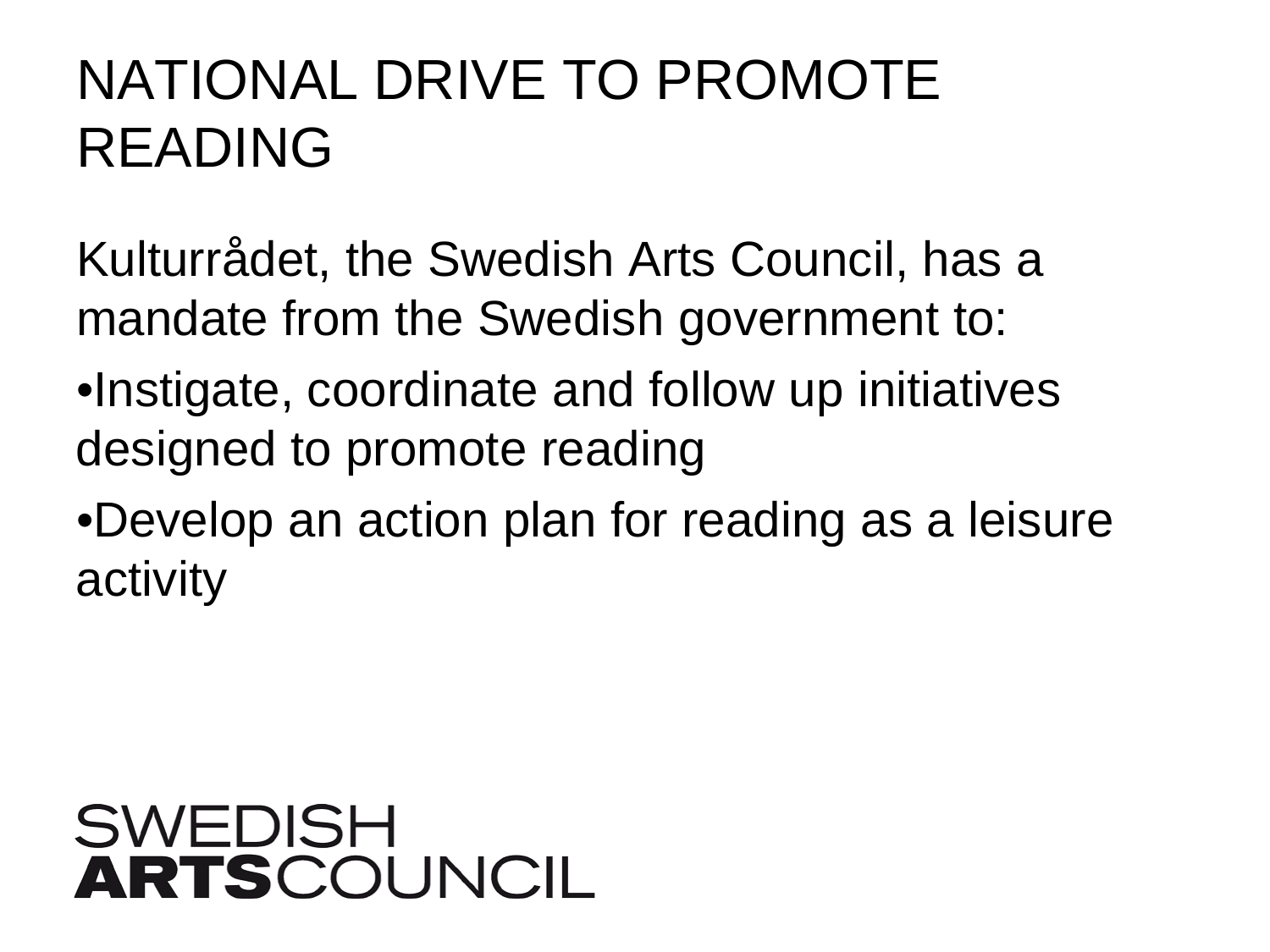## NATIONAL DRIVE TO PROMOTE READING

Kulturrådet, the Swedish Arts Council, has a mandate from the Swedish government to:

- •Instigate, coordinate and follow up initiatives designed to promote reading
- •Develop an action plan for reading as a leisure activity

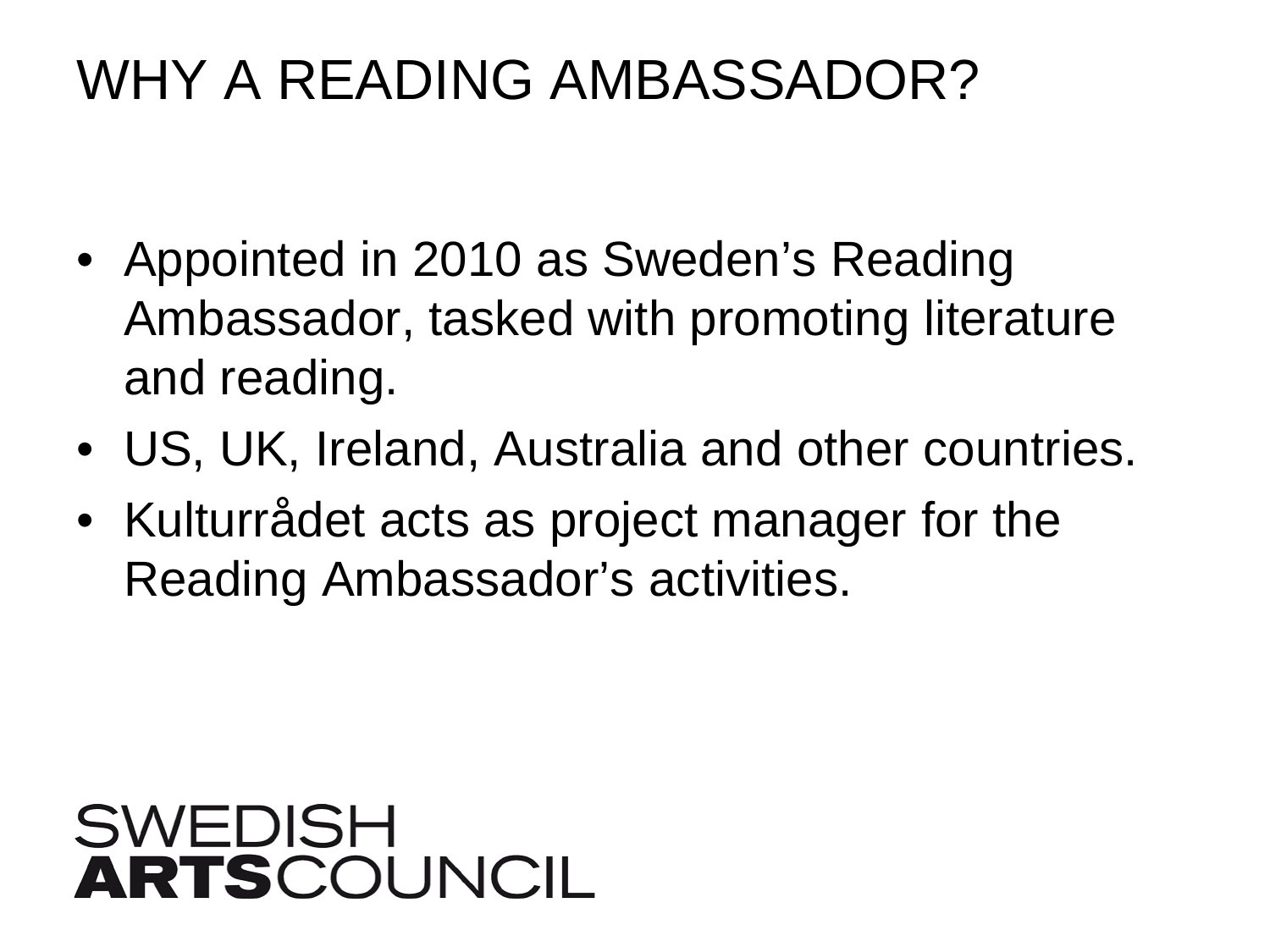### WHY A READING AMBASSADOR?

- Appointed in 2010 as Sweden's Reading Ambassador, tasked with promoting literature and reading.
- US, UK, Ireland, Australia and other countries.
- Kulturrådet acts as project manager for the Reading Ambassador's activities.

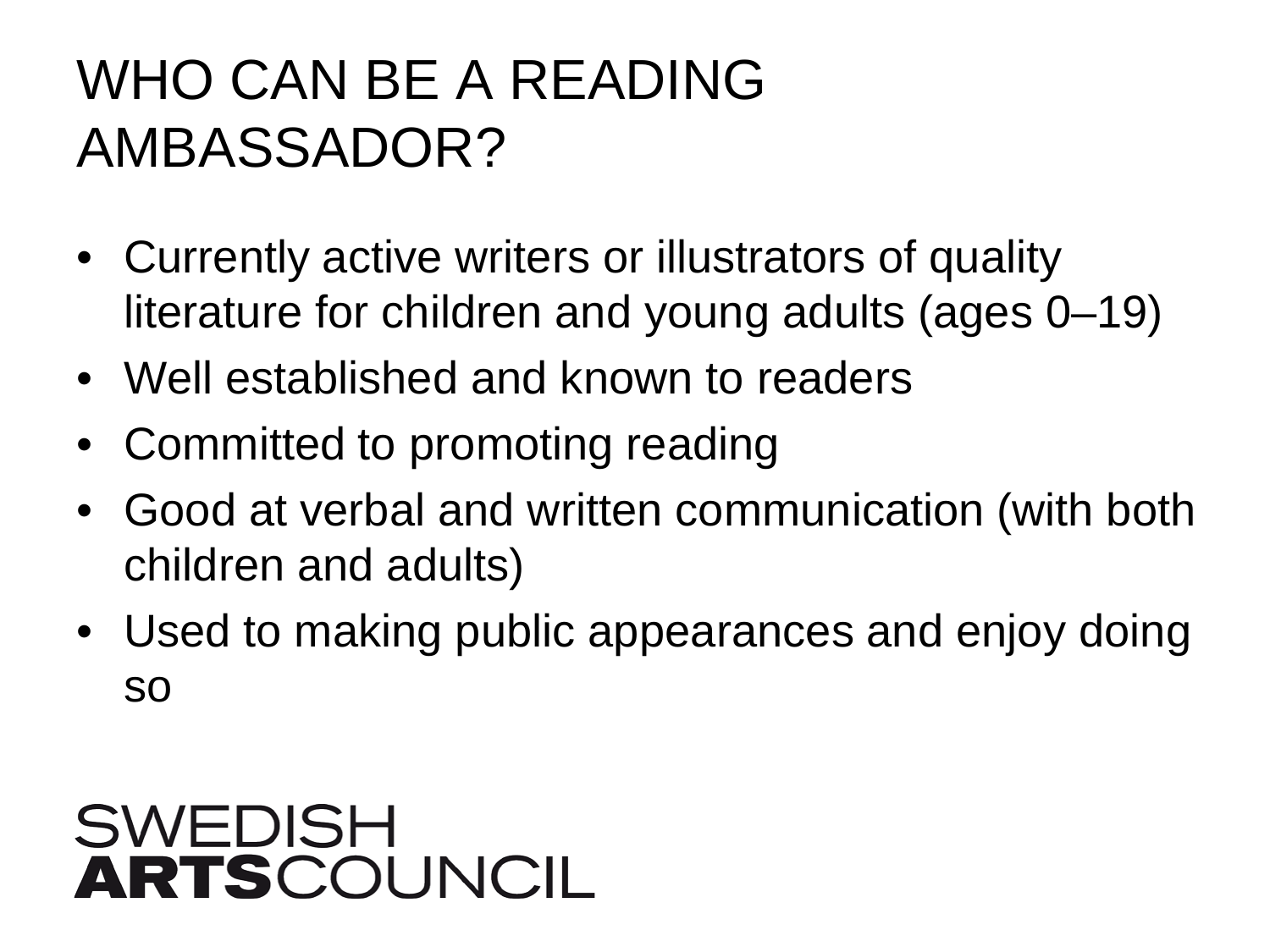## WHO CAN BE A READING AMBASSADOR?

- Currently active writers or illustrators of quality literature for children and young adults (ages 0–19)
- Well established and known to readers
- Committed to promoting reading
- Good at verbal and written communication (with both children and adults)
- Used to making public appearances and enjoy doing so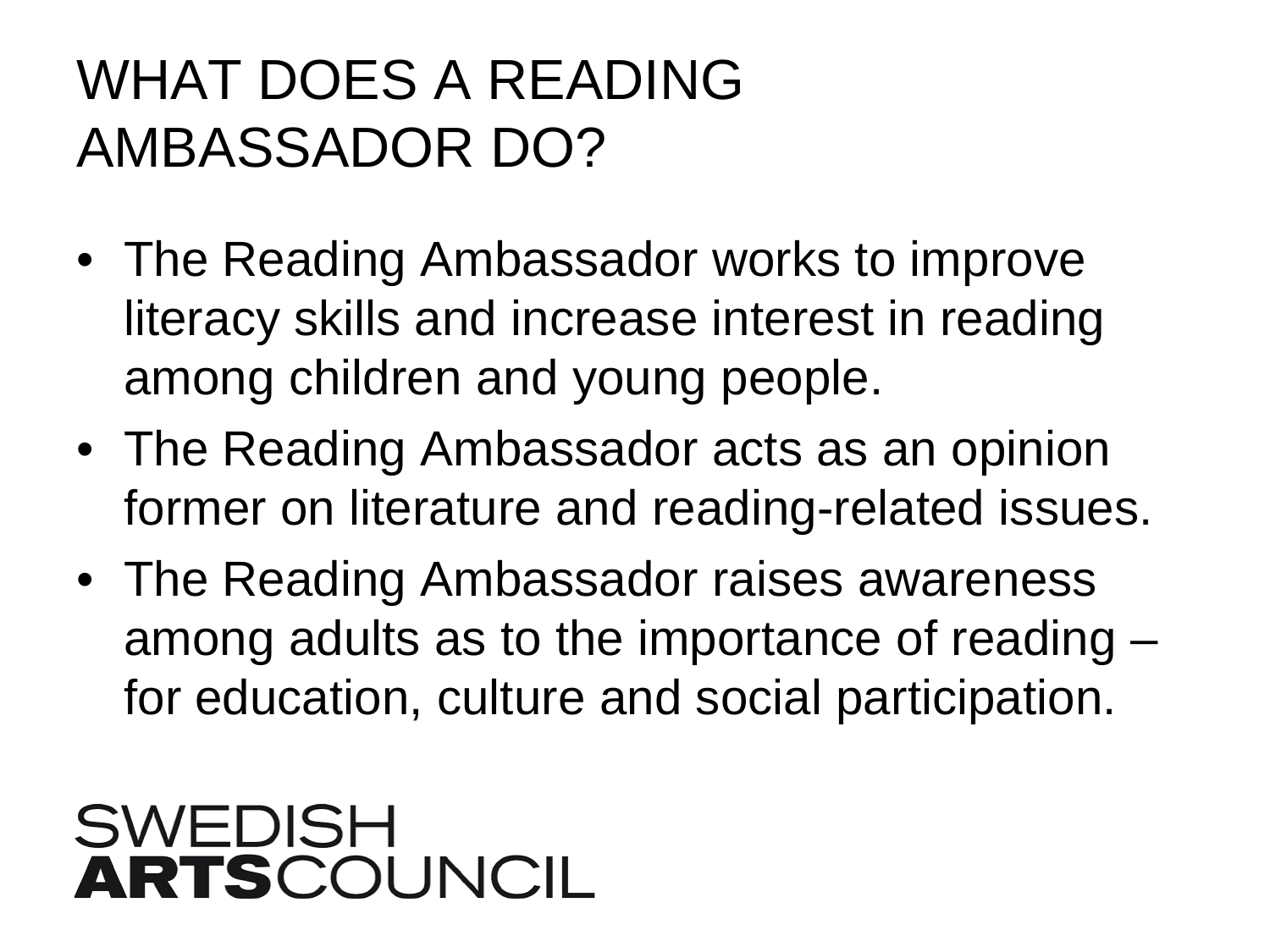## WHAT DOES A READING AMBASSADOR DO?

- The Reading Ambassador works to improve literacy skills and increase interest in reading among children and young people.
- The Reading Ambassador acts as an opinion former on literature and reading-related issues.
- The Reading Ambassador raises awareness among adults as to the importance of reading – for education, culture and social participation.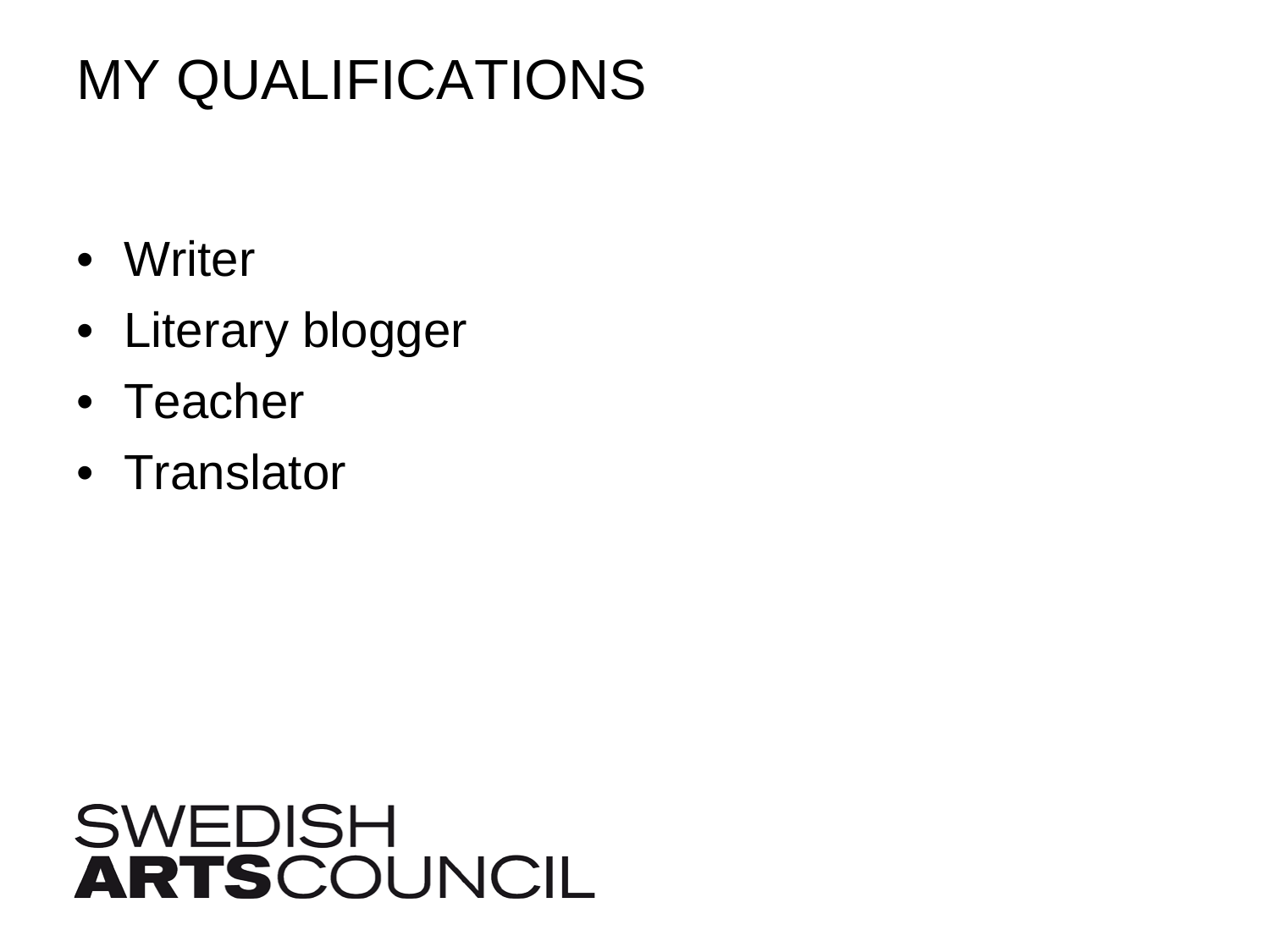# MY QUALIFICATIONS

- Writer
- Literary blogger
- Teacher
- Translator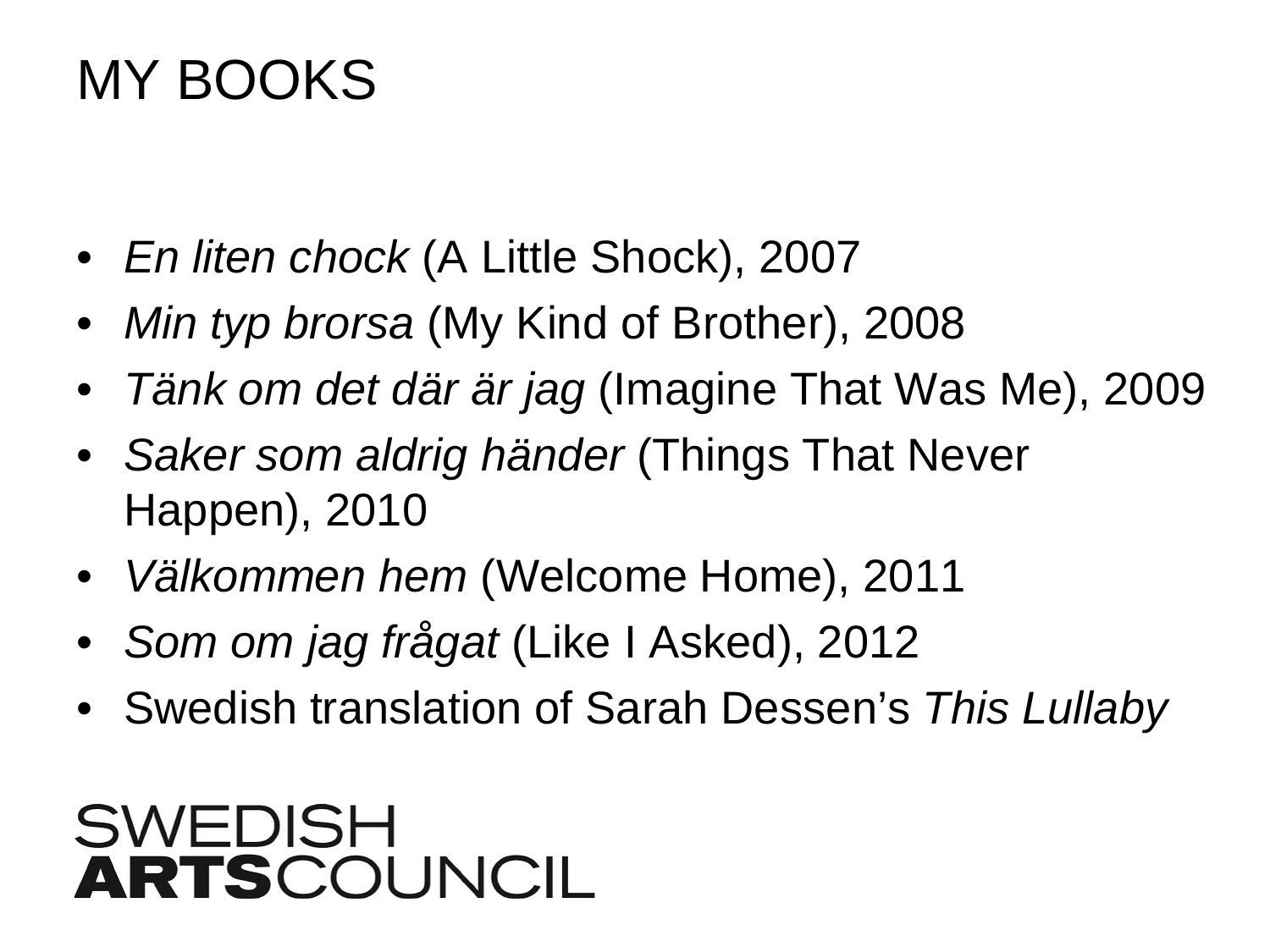### MY BOOKS

- *En liten chock* (A Little Shock), 2007
- *Min typ brorsa* (My Kind of Brother), 2008
- *Tänk om det där är jag* (Imagine That Was Me), 2009
- *Saker som aldrig händer* (Things That Never Happen), 2010
- *Välkommen hem* (Welcome Home), 2011
- *Som om jag frågat* (Like I Asked), 2012
- Swedish translation of Sarah Dessen's *This Lullaby*

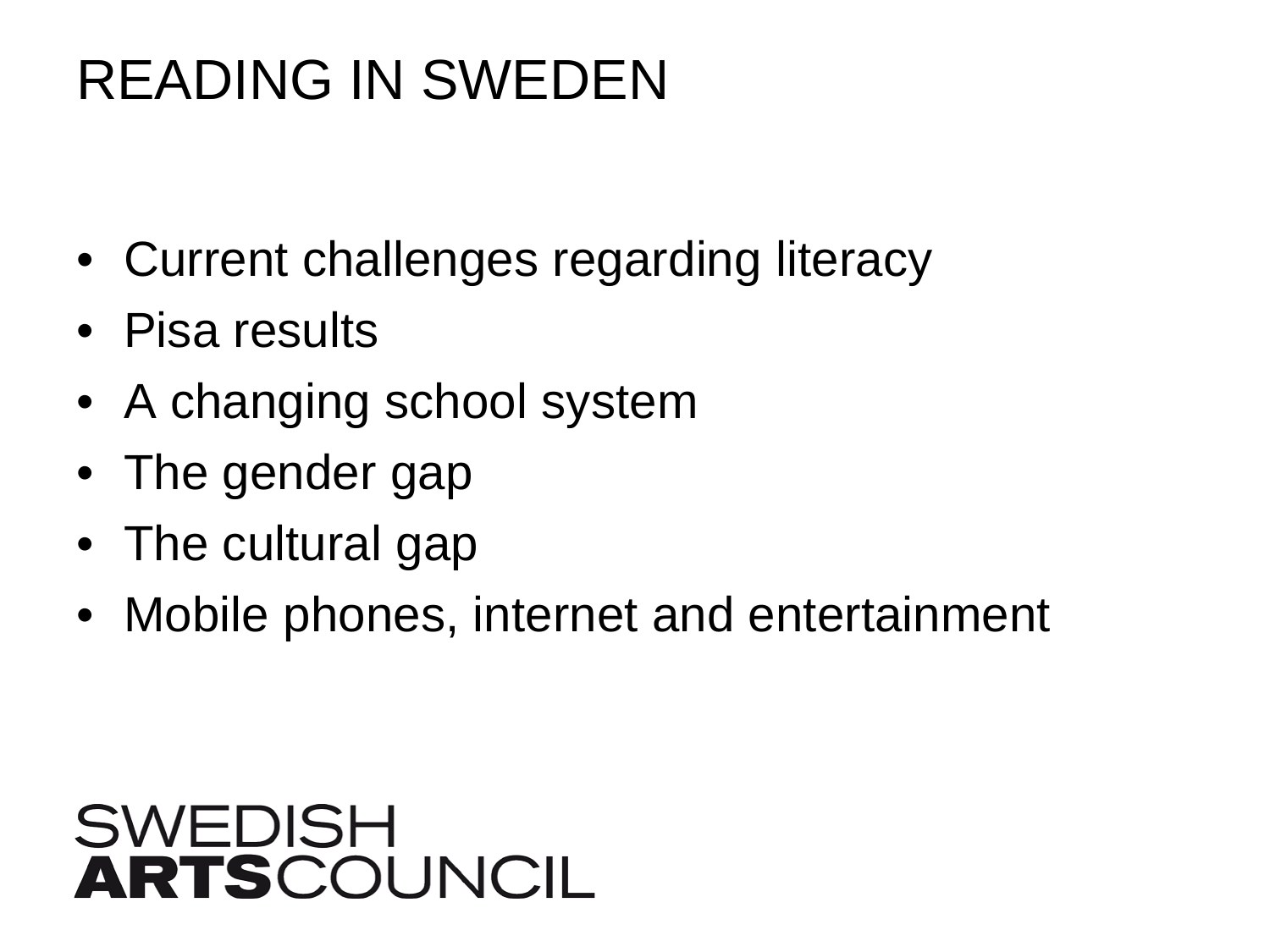# READING IN SWEDEN

- Current challenges regarding literacy
- Pisa results
- A changing school system
- The gender gap
- The cultural gap
- Mobile phones, internet and entertainment

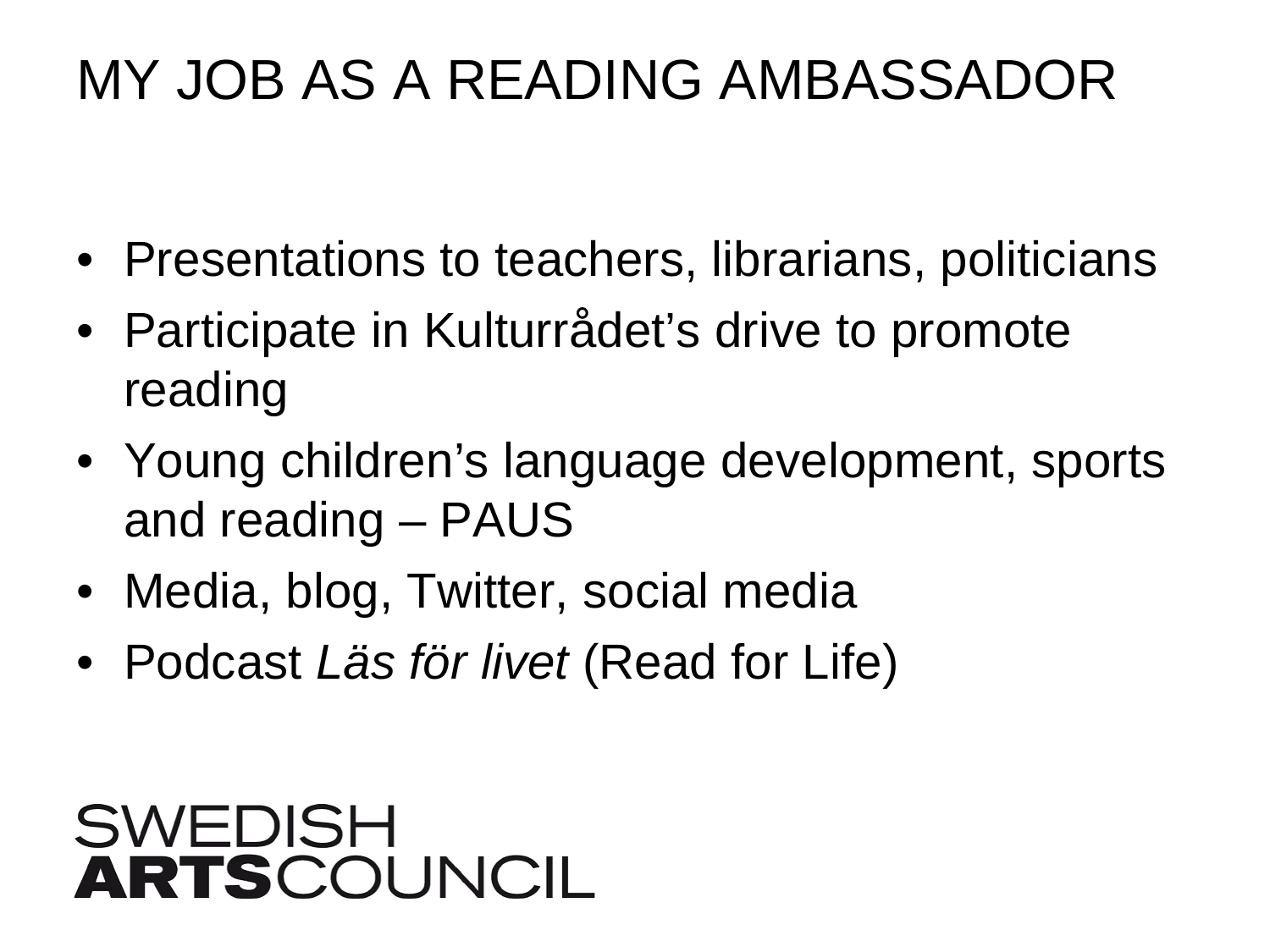## MY JOB AS A READING AMBASSADOR

- Presentations to teachers, librarians, politicians
- Participate in Kulturrådet's drive to promote reading
- Young children's language development, sports and reading – PAUS
- Media, blog, Twitter, social media
- Podcast *Läs för livet* (Read for Life)